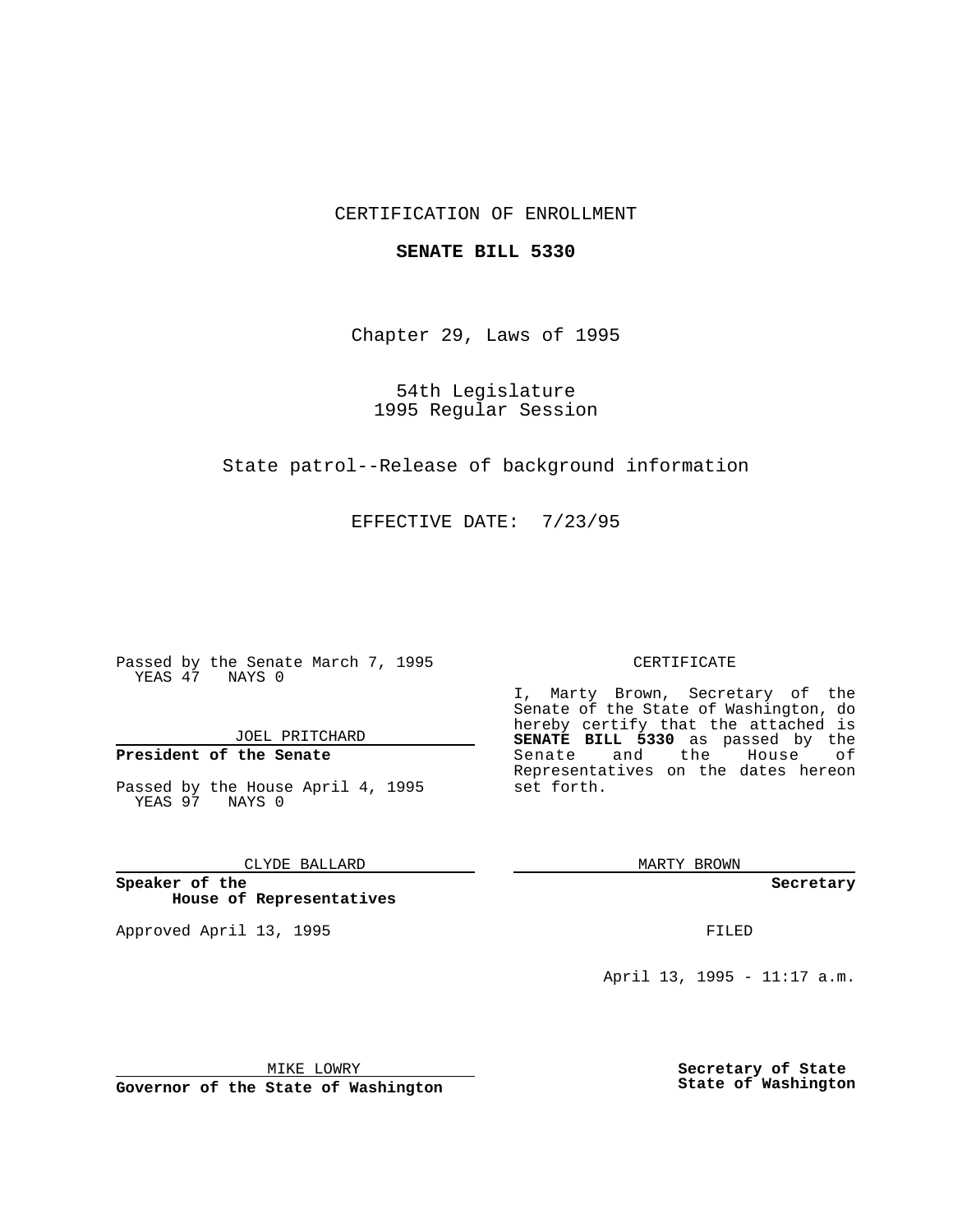# CERTIFICATION OF ENROLLMENT

### **SENATE BILL 5330**

Chapter 29, Laws of 1995

54th Legislature 1995 Regular Session

State patrol--Release of background information

EFFECTIVE DATE: 7/23/95

Passed by the Senate March 7, 1995 YEAS 47 NAYS 0

JOEL PRITCHARD

# **President of the Senate**

Passed by the House April 4, 1995 YEAS 97 NAYS 0

CLYDE BALLARD

**Speaker of the House of Representatives**

Approved April 13, 1995 FILED

#### CERTIFICATE

I, Marty Brown, Secretary of the Senate of the State of Washington, do hereby certify that the attached is **SENATE BILL 5330** as passed by the Senate and the House of Representatives on the dates hereon set forth.

MARTY BROWN

**Secretary**

April 13, 1995 - 11:17 a.m.

MIKE LOWRY **Governor of the State of Washington** **Secretary of State State of Washington**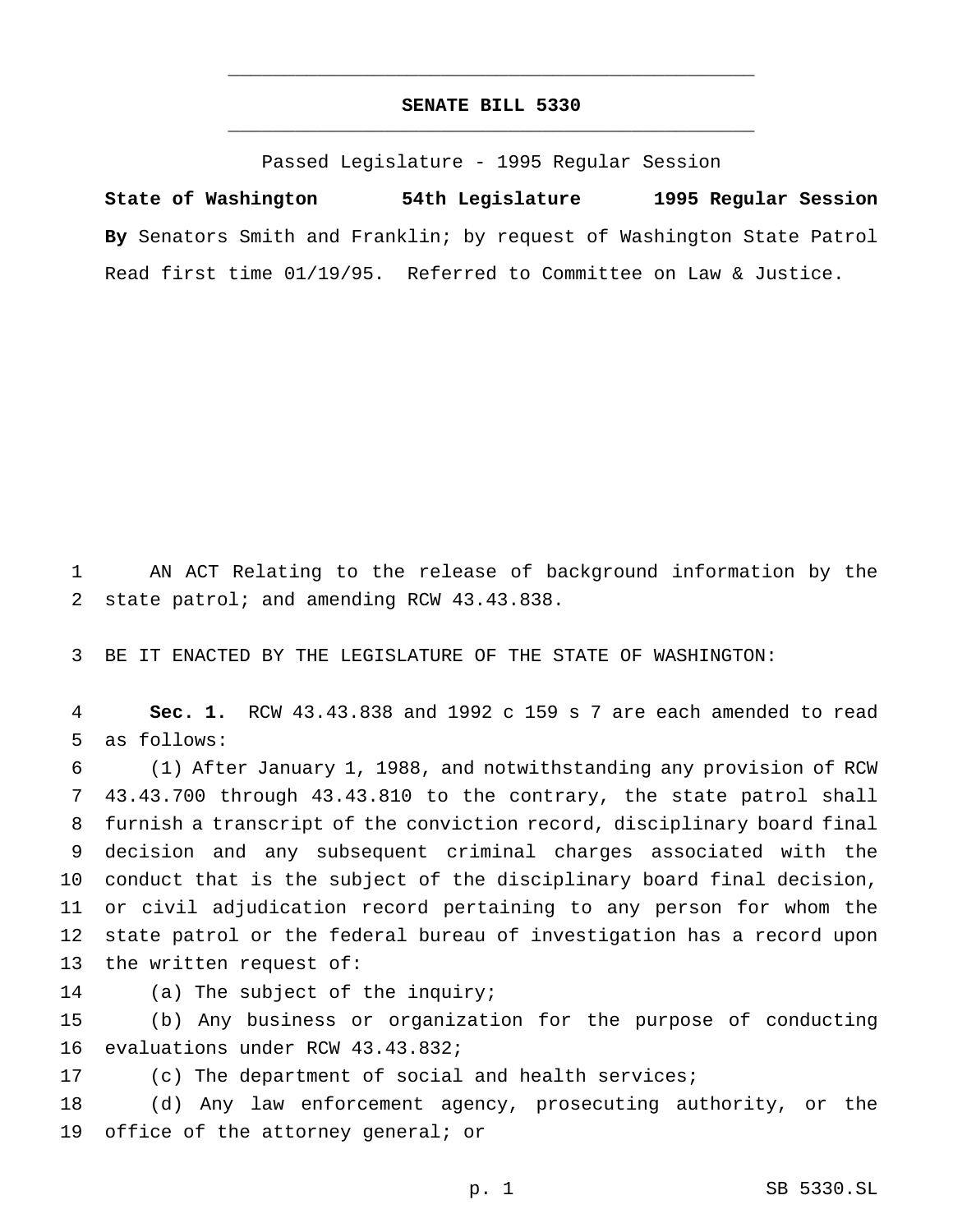# **SENATE BILL 5330** \_\_\_\_\_\_\_\_\_\_\_\_\_\_\_\_\_\_\_\_\_\_\_\_\_\_\_\_\_\_\_\_\_\_\_\_\_\_\_\_\_\_\_\_\_\_\_

\_\_\_\_\_\_\_\_\_\_\_\_\_\_\_\_\_\_\_\_\_\_\_\_\_\_\_\_\_\_\_\_\_\_\_\_\_\_\_\_\_\_\_\_\_\_\_

Passed Legislature - 1995 Regular Session

**State of Washington 54th Legislature 1995 Regular Session By** Senators Smith and Franklin; by request of Washington State Patrol Read first time 01/19/95. Referred to Committee on Law & Justice.

 AN ACT Relating to the release of background information by the state patrol; and amending RCW 43.43.838.

BE IT ENACTED BY THE LEGISLATURE OF THE STATE OF WASHINGTON:

 **Sec. 1.** RCW 43.43.838 and 1992 c 159 s 7 are each amended to read as follows:

 (1) After January 1, 1988, and notwithstanding any provision of RCW 43.43.700 through 43.43.810 to the contrary, the state patrol shall furnish a transcript of the conviction record, disciplinary board final decision and any subsequent criminal charges associated with the conduct that is the subject of the disciplinary board final decision, or civil adjudication record pertaining to any person for whom the state patrol or the federal bureau of investigation has a record upon the written request of:

(a) The subject of the inquiry;

 (b) Any business or organization for the purpose of conducting evaluations under RCW 43.43.832;

(c) The department of social and health services;

 (d) Any law enforcement agency, prosecuting authority, or the 19 office of the attorney general; or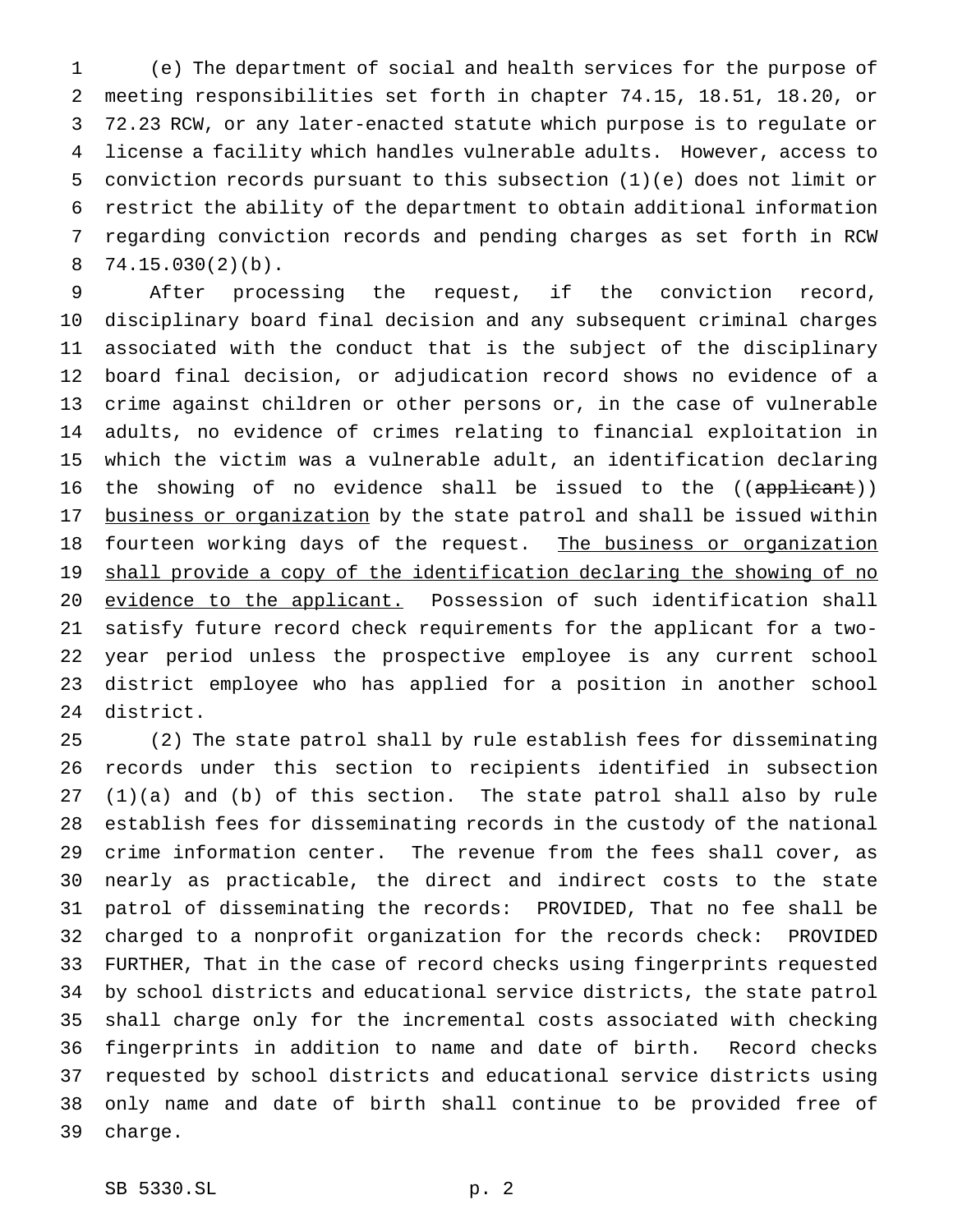(e) The department of social and health services for the purpose of meeting responsibilities set forth in chapter 74.15, 18.51, 18.20, or 72.23 RCW, or any later-enacted statute which purpose is to regulate or license a facility which handles vulnerable adults. However, access to conviction records pursuant to this subsection (1)(e) does not limit or restrict the ability of the department to obtain additional information regarding conviction records and pending charges as set forth in RCW 74.15.030(2)(b).

 After processing the request, if the conviction record, disciplinary board final decision and any subsequent criminal charges associated with the conduct that is the subject of the disciplinary board final decision, or adjudication record shows no evidence of a crime against children or other persons or, in the case of vulnerable adults, no evidence of crimes relating to financial exploitation in which the victim was a vulnerable adult, an identification declaring 16 the showing of no evidence shall be issued to the ((applicant)) 17 business or organization by the state patrol and shall be issued within 18 fourteen working days of the request. The business or organization 19 shall provide a copy of the identification declaring the showing of no 20 evidence to the applicant. Possession of such identification shall satisfy future record check requirements for the applicant for a two- year period unless the prospective employee is any current school district employee who has applied for a position in another school district.

 (2) The state patrol shall by rule establish fees for disseminating records under this section to recipients identified in subsection (1)(a) and (b) of this section. The state patrol shall also by rule establish fees for disseminating records in the custody of the national crime information center. The revenue from the fees shall cover, as nearly as practicable, the direct and indirect costs to the state patrol of disseminating the records: PROVIDED, That no fee shall be charged to a nonprofit organization for the records check: PROVIDED FURTHER, That in the case of record checks using fingerprints requested by school districts and educational service districts, the state patrol shall charge only for the incremental costs associated with checking fingerprints in addition to name and date of birth. Record checks requested by school districts and educational service districts using only name and date of birth shall continue to be provided free of charge.